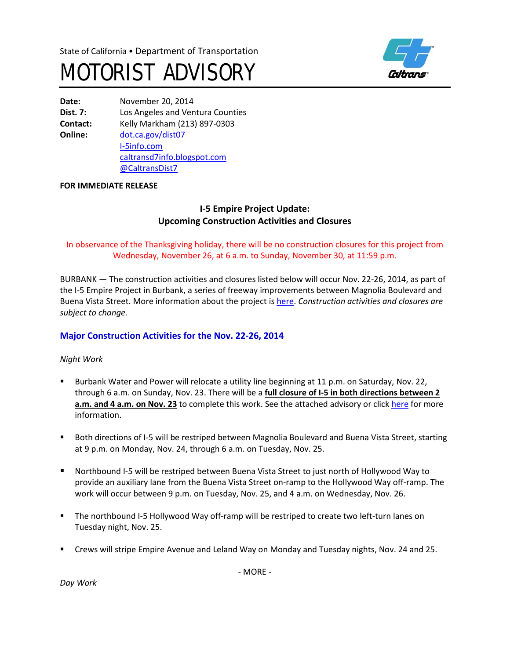



**Date:** November 20, 2014 **Dist. 7:** Los Angeles and Ventura Counties **Contact:** Kelly Markham (213) 897-0303 **Online:** [dot.ca.gov/dist07](http://www.dot.ca.gov/dist07) [I-5info.com](http://www.i-5info.com/) [caltransd7info.blogspot.com](http://caltransd7info.blogspot.com/) @CaltransDist7

#### **FOR IMMEDIATE RELEASE**

## **I-5 Empire Project Update: Upcoming Construction Activities and Closures**

## In observance of the Thanksgiving holiday, there will be no construction closures for this project from Wednesday, November 26, at 6 a.m. to Sunday, November 30, at 11:59 p.m.

BURBANK — The construction activities and closures listed below will occur Nov. 22-26, 2014, as part of the I-5 Empire Project in Burbank, a series of freeway improvements between Magnolia Boulevard and Buena Vista Street. More information about the project is [here.](http://i-5info.com/magnolia-boulevard-to-buena-vista-street/) *Construction activities and closures are subject to change.*

## **Major Construction Activities for the Nov. 22-26, 2014**

### *Night Work*

- Burbank Water and Power will relocate a utility line beginning at 11 p.m. on Saturday, Nov. 22, through 6 a.m. on Sunday, Nov. 23. There will be a **full closure of I-5 in both directions between 2 a.m. and 4 a.m. on Nov. 23** to complete this work. See the attached advisory or click [here](http://i-5info.com/2014/11/20/nighttime-full-closure-of-i-5-in-burbank-sunday-nov-23/) for more information.
- Both directions of I-5 will be restriped between Magnolia Boulevard and Buena Vista Street, starting at 9 p.m. on Monday, Nov. 24, through 6 a.m. on Tuesday, Nov. 25.
- Northbound I-5 will be restriped between Buena Vista Street to just north of Hollywood Way to provide an auxiliary lane from the Buena Vista Street on-ramp to the Hollywood Way off-ramp. The work will occur between 9 p.m. on Tuesday, Nov. 25, and 4 a.m. on Wednesday, Nov. 26.
- The northbound I-5 Hollywood Way off-ramp will be restriped to create two left-turn lanes on Tuesday night, Nov. 25.
- Crews will stripe Empire Avenue and Leland Way on Monday and Tuesday nights, Nov. 24 and 25.

*Day Work*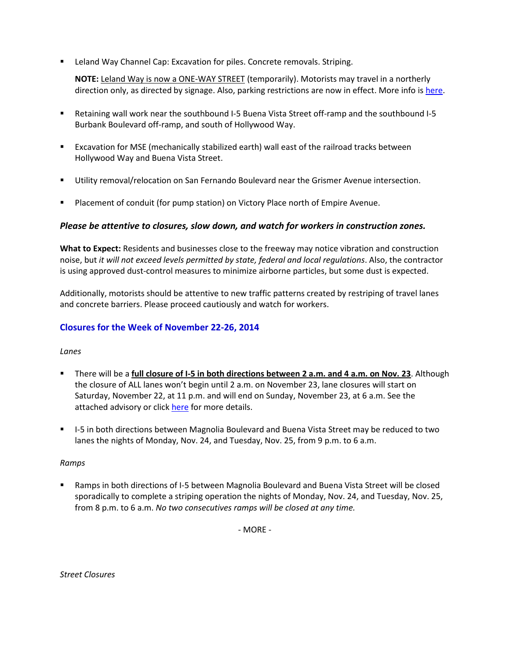**EXTERGHT CHANNEY CHANNEL CAP: Excavation for piles. Concrete removals. Striping.** 

**NOTE:** Leland Way is now a ONE-WAY STREET (temporarily). Motorists may travel in a northerly direction only, as directed by signage. Also, parking restrictions are now in effect. More info is [here.](http://i-5info.com/2014/11/06/leland-way-parking-restrictions-now-in-effect/)

- Retaining wall work near the southbound I-5 Buena Vista Street off-ramp and the southbound I-5 Burbank Boulevard off-ramp, and south of Hollywood Way.
- Excavation for MSE (mechanically stabilized earth) wall east of the railroad tracks between Hollywood Way and Buena Vista Street.
- Utility removal/relocation on San Fernando Boulevard near the Grismer Avenue intersection.
- **Placement of conduit (for pump station) on Victory Place north of Empire Avenue.**

### *Please be attentive to closures, slow down, and watch for workers in construction zones.*

**What to Expect:** Residents and businesses close to the freeway may notice vibration and construction noise, but *it will not exceed levels permitted by state, federal and local regulations*. Also, the contractor is using approved dust-control measures to minimize airborne particles, but some dust is expected.

Additionally, motorists should be attentive to new traffic patterns created by restriping of travel lanes and concrete barriers. Please proceed cautiously and watch for workers.

### **Closures for the Week of November 22-26, 2014**

#### *Lanes*

- There will be a **full closure of I-5 in both directions between 2 a.m. and 4 a.m. on Nov. 23**. Although the closure of ALL lanes won't begin until 2 a.m. on November 23, lane closures will start on Saturday, November 22, at 11 p.m. and will end on Sunday, November 23, at 6 a.m. See the attached advisory or click [here](http://i-5info.com/2014/11/20/nighttime-full-closure-of-i-5-in-burbank-sunday-nov-23/) for more details.
- **I-5** in both directions between Magnolia Boulevard and Buena Vista Street may be reduced to two lanes the nights of Monday, Nov. 24, and Tuesday, Nov. 25, from 9 p.m. to 6 a.m.

#### *Ramps*

 Ramps in both directions of I-5 between Magnolia Boulevard and Buena Vista Street will be closed sporadically to complete a striping operation the nights of Monday, Nov. 24, and Tuesday, Nov. 25, from 8 p.m. to 6 a.m. *No two consecutives ramps will be closed at any time.*

- MORE -

*Street Closures*